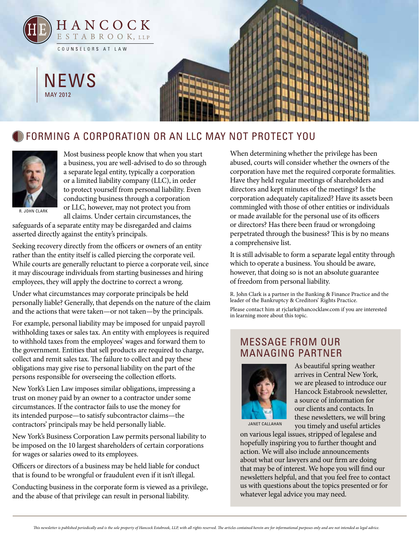

## **CORMING A CORPORATION OR AN LLC MAY NOT PROTECT YOU**



Most business people know that when you start a business, you are well-advised to do so through a separate legal entity, typically a corporation or a limited liability company (LLC), in order to protect yourself from personal liability. Even conducting business through a corporation or LLC, however, may not protect you from all claims. Under certain circumstances, the

R. John Clark

safeguards of a separate entity may be disregarded and claims asserted directly against the entity's principals.

Seeking recovery directly from the officers or owners of an entity rather than the entity itself is called piercing the corporate veil. While courts are generally reluctant to pierce a corporate veil, since it may discourage individuals from starting businesses and hiring employees, they will apply the doctrine to correct a wrong.

Under what circumstances may corporate principals be held personally liable? Generally, that depends on the nature of the claim and the actions that were taken—or not taken—by the principals.

For example, personal liability may be imposed for unpaid payroll withholding taxes or sales tax. An entity with employees is required to withhold taxes from the employees' wages and forward them to the government. Entities that sell products are required to charge, collect and remit sales tax. The failure to collect and pay these obligations may give rise to personal liability on the part of the persons responsible for overseeing the collection efforts.

New York's Lien Law imposes similar obligations, impressing a trust on money paid by an owner to a contractor under some circumstances. If the contractor fails to use the money for its intended purpose—to satisfy subcontractor claims—the contractors' principals may be held personally liable.

New York's Business Corporation Law permits personal liability to be imposed on the 10 largest shareholders of certain corporations for wages or salaries owed to its employees.

Officers or directors of a business may be held liable for conduct that is found to be wrongful or fraudulent even if it isn't illegal.

Conducting business in the corporate form is viewed as a privilege, and the abuse of that privilege can result in personal liability.

When determining whether the privilege has been abused, courts will consider whether the owners of the corporation have met the required corporate formalities. Have they held regular meetings of shareholders and directors and kept minutes of the meetings? Is the corporation adequately capitalized? Have its assets been commingled with those of other entities or individuals or made available for the personal use of its officers or directors? Has there been fraud or wrongdoing perpetrated through the business? This is by no means a comprehensive list.

It is still advisable to form a separate legal entity through which to operate a business. You should be aware, however, that doing so is not an absolute guarantee of freedom from personal liability.

R. John Clark is a partner in the Banking & Finance Practice and the leader of the Bankruptcy & Creditors' Rights Practice.

Please contact him at rjclark@hancocklaw.com if you are interested in learning more about this topic.

## message from our managing partner



As beautiful spring weather arrives in Central New York, we are pleased to introduce our Hancock Estabrook newsletter, a source of information for our clients and contacts. In these newsletters, we will bring you timely and useful articles

janet callahan

on various legal issues, stripped of legalese and hopefully inspiring you to further thought and action. We will also include announcements about what our lawyers and our firm are doing that may be of interest. We hope you will find our newsletters helpful, and that you feel free to contact us with questions about the topics presented or for whatever legal advice you may need.